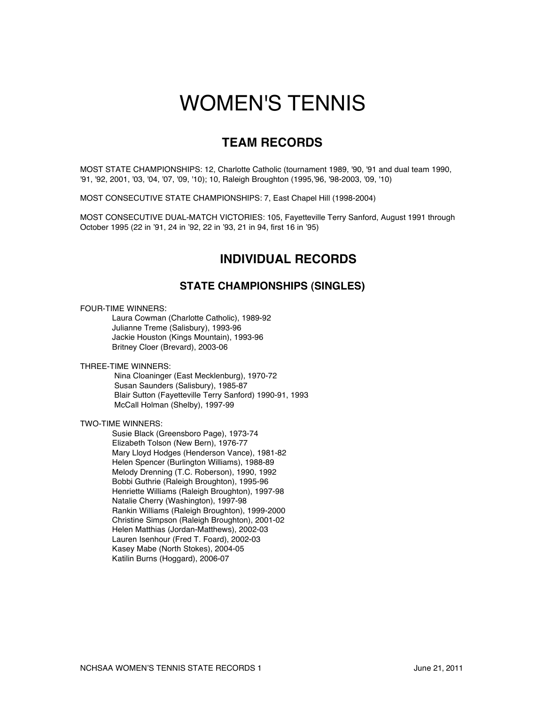# WOMEN'S TENNIS

# **TEAM RECORDS**

MOST STATE CHAMPIONSHIPS: 12, Charlotte Catholic (tournament 1989, '90, '91 and dual team 1990, '91, '92, 2001, '03, '04, '07, '09, '10); 10, Raleigh Broughton (1995,'96, '98-2003, '09, '10)

MOST CONSECUTIVE STATE CHAMPIONSHIPS: 7, East Chapel Hill (1998-2004)

MOST CONSECUTIVE DUAL-MATCH VICTORIES: 105, Fayetteville Terry Sanford, August 1991 through October 1995 (22 in '91, 24 in '92, 22 in '93, 21 in 94, first 16 in '95)

## **INDIVIDUAL RECORDS**

## **STATE CHAMPIONSHIPS (SINGLES)**

#### FOUR-TIME WINNERS:

Laura Cowman (Charlotte Catholic), 1989-92 Julianne Treme (Salisbury), 1993-96 Jackie Houston (Kings Mountain), 1993-96 Britney Cloer (Brevard), 2003-06

THREE-TIME WINNERS:

 Nina Cloaninger (East Mecklenburg), 1970-72 Susan Saunders (Salisbury), 1985-87 Blair Sutton (Fayetteville Terry Sanford) 1990-91, 1993 McCall Holman (Shelby), 1997-99

#### TWO-TIME WINNERS:

Susie Black (Greensboro Page), 1973-74 Elizabeth Tolson (New Bern), 1976-77 Mary Lloyd Hodges (Henderson Vance), 1981-82 Helen Spencer (Burlington Williams), 1988-89 Melody Drenning (T.C. Roberson), 1990, 1992 Bobbi Guthrie (Raleigh Broughton), 1995-96 Henriette Williams (Raleigh Broughton), 1997-98 Natalie Cherry (Washington), 1997-98 Rankin Williams (Raleigh Broughton), 1999-2000 Christine Simpson (Raleigh Broughton), 2001-02 Helen Matthias (Jordan-Matthews), 2002-03 Lauren Isenhour (Fred T. Foard), 2002-03 Kasey Mabe (North Stokes), 2004-05 Katilin Burns (Hoggard), 2006-07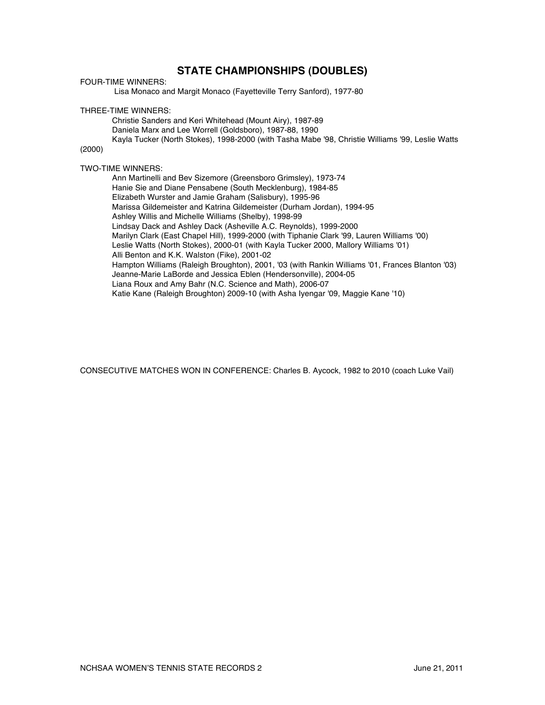## **STATE CHAMPIONSHIPS (DOUBLES)**

FOUR-TIME WINNERS:

Lisa Monaco and Margit Monaco (Fayetteville Terry Sanford), 1977-80

#### THREE-TIME WINNERS:

Christie Sanders and Keri Whitehead (Mount Airy), 1987-89 Daniela Marx and Lee Worrell (Goldsboro), 1987-88, 1990 Kayla Tucker (North Stokes), 1998-2000 (with Tasha Mabe '98, Christie Williams '99, Leslie Watts

(2000)

#### TWO-TIME WINNERS:

Ann Martinelli and Bev Sizemore (Greensboro Grimsley), 1973-74 Hanie Sie and Diane Pensabene (South Mecklenburg), 1984-85 Elizabeth Wurster and Jamie Graham (Salisbury), 1995-96 Marissa Gildemeister and Katrina Gildemeister (Durham Jordan), 1994-95 Ashley Willis and Michelle Williams (Shelby), 1998-99 Lindsay Dack and Ashley Dack (Asheville A.C. Reynolds), 1999-2000 Marilyn Clark (East Chapel Hill), 1999-2000 (with Tiphanie Clark '99, Lauren Williams '00) Leslie Watts (North Stokes), 2000-01 (with Kayla Tucker 2000, Mallory Williams '01) Alli Benton and K.K. Walston (Fike), 2001-02 Hampton Williams (Raleigh Broughton), 2001, '03 (with Rankin Williams '01, Frances Blanton '03) Jeanne-Marie LaBorde and Jessica Eblen (Hendersonville), 2004-05 Liana Roux and Amy Bahr (N.C. Science and Math), 2006-07 Katie Kane (Raleigh Broughton) 2009-10 (with Asha Iyengar '09, Maggie Kane '10)

CONSECUTIVE MATCHES WON IN CONFERENCE: Charles B. Aycock, 1982 to 2010 (coach Luke Vail)